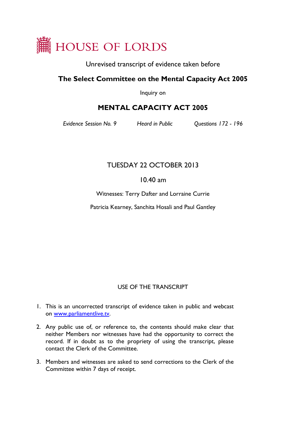

Unrevised transcript of evidence taken before

## **The Select Committee on the Mental Capacity Act 2005**

Inquiry on

# **MENTAL CAPACITY ACT 2005**

*Evidence Session No. 9 Heard in Public Questions 172 - 196*

# TUESDAY 22 OCTOBER 2013

## 10.40 am

Witnesses: Terry Dafter and Lorraine Currie

Patricia Kearney, Sanchita Hosali and Paul Gantley

### USE OF THE TRANSCRIPT

- 1. This is an uncorrected transcript of evidence taken in public and webcast on [www.parliamentlive.tv.](http://www.parliamentlive.tv/)
- 2. Any public use of, or reference to, the contents should make clear that neither Members nor witnesses have had the opportunity to correct the record. If in doubt as to the propriety of using the transcript, please contact the Clerk of the Committee.
- 3. Members and witnesses are asked to send corrections to the Clerk of the Committee within 7 days of receipt.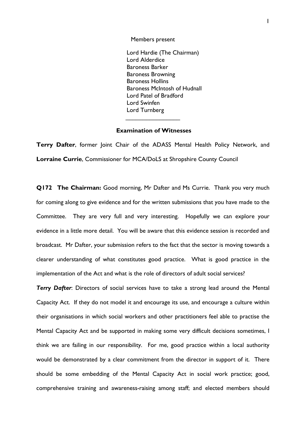Members present

Lord Hardie (The Chairman) Lord Alderdice Baroness Barker Baroness Browning Baroness Hollins Baroness McIntosh of Hudnall Lord Patel of Bradford Lord Swinfen Lord Turnberg

### **Examination of Witnesses**

 $\overline{\phantom{a}}$ 

**Terry Dafter,** former Joint Chair of the ADASS Mental Health Policy Network, and **Lorraine Currie**, Commissioner for MCA/DoLS at Shropshire County Council

**Q172 The Chairman:** Good morning, Mr Dafter and Ms Currie. Thank you very much for coming along to give evidence and for the written submissions that you have made to the Committee. They are very full and very interesting. Hopefully we can explore your evidence in a little more detail. You will be aware that this evidence session is recorded and broadcast. Mr Dafter, your submission refers to the fact that the sector is moving towards a clearer understanding of what constitutes good practice. What is good practice in the implementation of the Act and what is the role of directors of adult social services?

*Terry Dafter*: Directors of social services have to take a strong lead around the Mental Capacity Act. If they do not model it and encourage its use, and encourage a culture within their organisations in which social workers and other practitioners feel able to practise the Mental Capacity Act and be supported in making some very difficult decisions sometimes, I think we are failing in our responsibility. For me, good practice within a local authority would be demonstrated by a clear commitment from the director in support of it. There should be some embedding of the Mental Capacity Act in social work practice; good, comprehensive training and awareness-raising among staff; and elected members should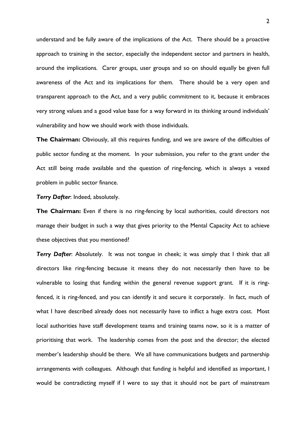understand and be fully aware of the implications of the Act. There should be a proactive approach to training in the sector, especially the independent sector and partners in health, around the implications. Carer groups, user groups and so on should equally be given full awareness of the Act and its implications for them. There should be a very open and transparent approach to the Act, and a very public commitment to it, because it embraces very strong values and a good value base for a way forward in its thinking around individuals' vulnerability and how we should work with those individuals.

**The Chairman:** Obviously, all this requires funding, and we are aware of the difficulties of public sector funding at the moment. In your submission, you refer to the grant under the Act still being made available and the question of ring-fencing, which is always a vexed problem in public sector finance.

### *Terry Dafter*: Indeed, absolutely.

**The Chairman:** Even if there is no ring-fencing by local authorities, could directors not manage their budget in such a way that gives priority to the Mental Capacity Act to achieve these objectives that you mentioned?

*Terry Dafter*: Absolutely. It was not tongue in cheek; it was simply that I think that all directors like ring-fencing because it means they do not necessarily then have to be vulnerable to losing that funding within the general revenue support grant. If it is ringfenced, it is ring-fenced, and you can identify it and secure it corporately. In fact, much of what I have described already does not necessarily have to inflict a huge extra cost. Most local authorities have staff development teams and training teams now, so it is a matter of prioritising that work. The leadership comes from the post and the director; the elected member's leadership should be there. We all have communications budgets and partnership arrangements with colleagues. Although that funding is helpful and identified as important, I would be contradicting myself if I were to say that it should not be part of mainstream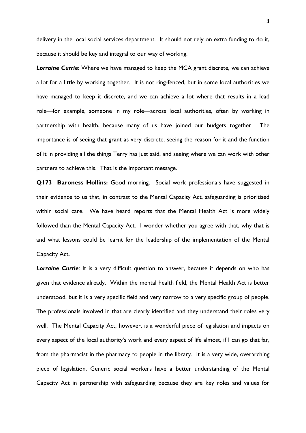delivery in the local social services department. It should not rely on extra funding to do it, because it should be key and integral to our way of working.

*Lorraine Currie*: Where we have managed to keep the MCA grant discrete, we can achieve a lot for a little by working together. It is not ring-fenced, but in some local authorities we have managed to keep it discrete, and we can achieve a lot where that results in a lead role—for example, someone in my role—across local authorities, often by working in partnership with health, because many of us have joined our budgets together. The importance is of seeing that grant as very discrete, seeing the reason for it and the function of it in providing all the things Terry has just said, and seeing where we can work with other partners to achieve this. That is the important message.

**Q173 Baroness Hollins:** Good morning. Social work professionals have suggested in their evidence to us that, in contrast to the Mental Capacity Act, safeguarding is prioritised within social care. We have heard reports that the Mental Health Act is more widely followed than the Mental Capacity Act. I wonder whether you agree with that, why that is and what lessons could be learnt for the leadership of the implementation of the Mental Capacity Act.

*Lorraine Currie*: It is a very difficult question to answer, because it depends on who has given that evidence already. Within the mental health field, the Mental Health Act is better understood, but it is a very specific field and very narrow to a very specific group of people. The professionals involved in that are clearly identified and they understand their roles very well. The Mental Capacity Act, however, is a wonderful piece of legislation and impacts on every aspect of the local authority's work and every aspect of life almost, if I can go that far, from the pharmacist in the pharmacy to people in the library. It is a very wide, overarching piece of legislation. Generic social workers have a better understanding of the Mental Capacity Act in partnership with safeguarding because they are key roles and values for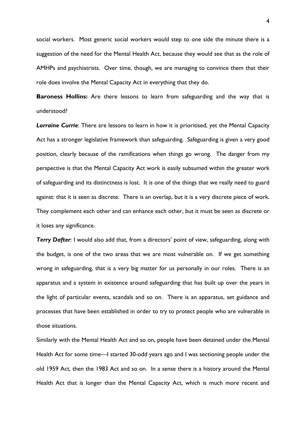social workers. Most generic social workers would step to one side the minute there is a suggestion of the need for the Mental Health Act, because they would see that as the role of AMHPs and psychiatrists. Over time, though, we are managing to convince them that their role does involve the Mental Capacity Act in everything that they do.

**Baroness Hollins:** Are there lessons to learn from safeguarding and the way that is understood?

*Lorraine Currie*: There are lessons to learn in how it is prioritised, yet the Mental Capacity Act has a stronger legislative framework than safeguarding. Safeguarding is given a very good position, clearly because of the ramifications when things go wrong. The danger from my perspective is that the Mental Capacity Act work is easily subsumed within the greater work of safeguarding and its distinctness is lost. It is one of the things that we really need to guard against: that it is seen as discrete. There is an overlap, but it is a very discrete piece of work. They complement each other and can enhance each other, but it must be seen as discrete or it loses any significance.

**Terry Dafter:** I would also add that, from a directors' point of view, safeguarding, along with the budget, is one of the two areas that we are most vulnerable on. If we get something wrong in safeguarding, that is a very big matter for us personally in our roles. There is an apparatus and a system in existence around safeguarding that has built up over the years in the light of particular events, scandals and so on. There is an apparatus, set guidance and processes that have been established in order to try to protect people who are vulnerable in those situations.

Similarly with the Mental Health Act and so on, people have been detained under the Mental Health Act for some time—I started 30-odd years ago and I was sectioning people under the old 1959 Act, then the 1983 Act and so on. In a sense there is a history around the Mental Health Act that is longer than the Mental Capacity Act, which is much more recent and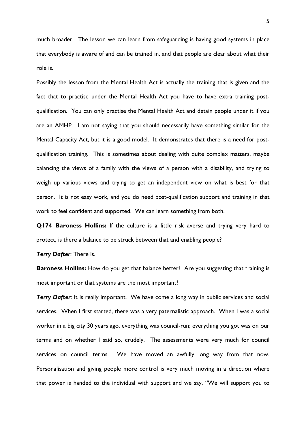much broader. The lesson we can learn from safeguarding is having good systems in place that everybody is aware of and can be trained in, and that people are clear about what their role is.

Possibly the lesson from the Mental Health Act is actually the training that is given and the fact that to practise under the Mental Health Act you have to have extra training postqualification. You can only practise the Mental Health Act and detain people under it if you are an AMHP. I am not saying that you should necessarily have something similar for the Mental Capacity Act, but it is a good model. It demonstrates that there is a need for postqualification training. This is sometimes about dealing with quite complex matters, maybe balancing the views of a family with the views of a person with a disability, and trying to weigh up various views and trying to get an independent view on what is best for that person. It is not easy work, and you do need post-qualification support and training in that work to feel confident and supported. We can learn something from both.

**Q174 Baroness Hollins:** If the culture is a little risk averse and trying very hard to protect, is there a balance to be struck between that and enabling people?

*Terry Dafter*: There is.

**Baroness Hollins:** How do you get that balance better? Are you suggesting that training is most important or that systems are the most important?

**Terry Dafter:** It is really important. We have come a long way in public services and social services. When I first started, there was a very paternalistic approach. When I was a social worker in a big city 30 years ago, everything was council-run; everything you got was on our terms and on whether I said so, crudely. The assessments were very much for council services on council terms. We have moved an awfully long way from that now. Personalisation and giving people more control is very much moving in a direction where that power is handed to the individual with support and we say, "We will support you to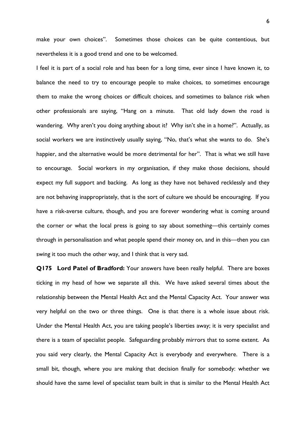make your own choices". Sometimes those choices can be quite contentious, but nevertheless it is a good trend and one to be welcomed.

I feel it is part of a social role and has been for a long time, ever since I have known it, to balance the need to try to encourage people to make choices, to sometimes encourage them to make the wrong choices or difficult choices, and sometimes to balance risk when other professionals are saying, "Hang on a minute. That old lady down the road is wandering. Why aren't you doing anything about it? Why isn't she in a home?". Actually, as social workers we are instinctively usually saying, "No, that's what she wants to do. She's happier, and the alternative would be more detrimental for her". That is what we still have to encourage. Social workers in my organisation, if they make those decisions, should expect my full support and backing. As long as they have not behaved recklessly and they are not behaving inappropriately, that is the sort of culture we should be encouraging. If you have a risk-averse culture, though, and you are forever wondering what is coming around the corner or what the local press is going to say about something—this certainly comes through in personalisation and what people spend their money on, and in this—then you can swing it too much the other way, and I think that is very sad.

**Q175 Lord Patel of Bradford:** Your answers have been really helpful. There are boxes ticking in my head of how we separate all this. We have asked several times about the relationship between the Mental Health Act and the Mental Capacity Act. Your answer was very helpful on the two or three things. One is that there is a whole issue about risk. Under the Mental Health Act, you are taking people's liberties away; it is very specialist and there is a team of specialist people. Safeguarding probably mirrors that to some extent. As you said very clearly, the Mental Capacity Act is everybody and everywhere. There is a small bit, though, where you are making that decision finally for somebody: whether we should have the same level of specialist team built in that is similar to the Mental Health Act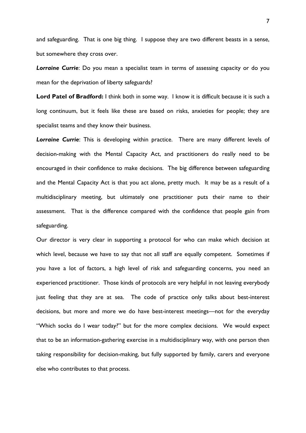and safeguarding. That is one big thing. I suppose they are two different beasts in a sense, but somewhere they cross over.

*Lorraine Currie*: Do you mean a specialist team in terms of assessing capacity or do you mean for the deprivation of liberty safeguards?

**Lord Patel of Bradford:** I think both in some way. I know it is difficult because it is such a long continuum, but it feels like these are based on risks, anxieties for people; they are specialist teams and they know their business.

*Lorraine Currie*: This is developing within practice. There are many different levels of decision-making with the Mental Capacity Act, and practitioners do really need to be encouraged in their confidence to make decisions. The big difference between safeguarding and the Mental Capacity Act is that you act alone, pretty much. It may be as a result of a multidisciplinary meeting, but ultimately one practitioner puts their name to their assessment. That is the difference compared with the confidence that people gain from safeguarding.

Our director is very clear in supporting a protocol for who can make which decision at which level, because we have to say that not all staff are equally competent. Sometimes if you have a lot of factors, a high level of risk and safeguarding concerns, you need an experienced practitioner. Those kinds of protocols are very helpful in not leaving everybody just feeling that they are at sea. The code of practice only talks about best-interest decisions, but more and more we do have best-interest meetings—not for the everyday "Which socks do I wear today?" but for the more complex decisions. We would expect that to be an information-gathering exercise in a multidisciplinary way, with one person then taking responsibility for decision-making, but fully supported by family, carers and everyone else who contributes to that process.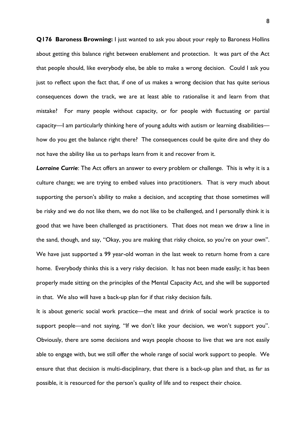**Q176 Baroness Browning:** I just wanted to ask you about your reply to Baroness Hollins about getting this balance right between enablement and protection. It was part of the Act that people should, like everybody else, be able to make a wrong decision. Could I ask you just to reflect upon the fact that, if one of us makes a wrong decision that has quite serious consequences down the track, we are at least able to rationalise it and learn from that mistake? For many people without capacity, or for people with fluctuating or partial capacity—I am particularly thinking here of young adults with autism or learning disabilities how do you get the balance right there? The consequences could be quite dire and they do not have the ability like us to perhaps learn from it and recover from it.

*Lorraine Currie*: The Act offers an answer to every problem or challenge. This is why it is a culture change; we are trying to embed values into practitioners. That is very much about supporting the person's ability to make a decision, and accepting that those sometimes will be risky and we do not like them, we do not like to be challenged, and I personally think it is good that we have been challenged as practitioners. That does not mean we draw a line in the sand, though, and say, "Okay, you are making that risky choice, so you're on your own". We have just supported a 99 year-old woman in the last week to return home from a care home. Everybody thinks this is a very risky decision. It has not been made easily; it has been properly made sitting on the principles of the Mental Capacity Act, and she will be supported in that. We also will have a back-up plan for if that risky decision fails.

It is about generic social work practice—the meat and drink of social work practice is to support people—and not saying, "If we don't like your decision, we won't support you". Obviously, there are some decisions and ways people choose to live that we are not easily able to engage with, but we still offer the whole range of social work support to people. We ensure that that decision is multi-disciplinary, that there is a back-up plan and that, as far as possible, it is resourced for the person's quality of life and to respect their choice.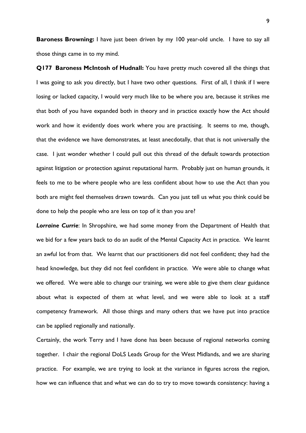**Baroness Browning:** I have just been driven by my 100 year-old uncle. I have to say all those things came in to my mind.

**Q177 Baroness McIntosh of Hudnall:** You have pretty much covered all the things that I was going to ask you directly, but I have two other questions. First of all, I think if I were losing or lacked capacity, I would very much like to be where you are, because it strikes me that both of you have expanded both in theory and in practice exactly how the Act should work and how it evidently does work where you are practising. It seems to me, though, that the evidence we have demonstrates, at least anecdotally, that that is not universally the case. I just wonder whether I could pull out this thread of the default towards protection against litigation or protection against reputational harm. Probably just on human grounds, it feels to me to be where people who are less confident about how to use the Act than you both are might feel themselves drawn towards. Can you just tell us what you think could be done to help the people who are less on top of it than you are?

*Lorraine Currie*: In Shropshire, we had some money from the Department of Health that we bid for a few years back to do an audit of the Mental Capacity Act in practice. We learnt an awful lot from that. We learnt that our practitioners did not feel confident; they had the head knowledge, but they did not feel confident in practice. We were able to change what we offered. We were able to change our training, we were able to give them clear guidance about what is expected of them at what level, and we were able to look at a staff competency framework. All those things and many others that we have put into practice can be applied regionally and nationally.

Certainly, the work Terry and I have done has been because of regional networks coming together. I chair the regional DoLS Leads Group for the West Midlands, and we are sharing practice. For example, we are trying to look at the variance in figures across the region, how we can influence that and what we can do to try to move towards consistency: having a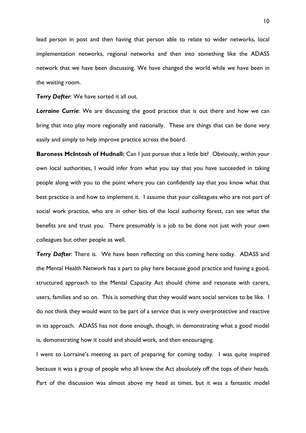lead person in post and then having that person able to relate to wider networks, local implementation networks, regional networks and then into something like the ADASS network that we have been discussing. We have changed the world while we have been in the waiting room.

*Terry Dafter*: We have sorted it all out.

*Lorraine Currie*: We are discussing the good practice that is out there and how we can bring that into play more regionally and nationally. These are things that can be done very easily and simply to help improve practice across the board.

**Baroness McIntosh of Hudnall:** Can I just pursue that a little bit? Obviously, within your own local authorities, I would infer from what you say that you have succeeded in taking people along with you to the point where you can confidently say that you know what that best practice is and how to implement it. I assume that your colleagues who are not part of social work practice, who are in other bits of the local authority forest, can see what the benefits are and trust you. There presumably is a job to be done not just with your own colleagues but other people as well.

**Terry Dafter:** There is. We have been reflecting on this coming here today. ADASS and the Mental Health Network has a part to play here because good practice and having a good, structured approach to the Mental Capacity Act should chime and resonate with carers, users, families and so on. This is something that they would want social services to be like. I do not think they would want to be part of a service that is very overprotective and reactive in its approach. ADASS has not done enough, though, in demonstrating what a good model is, demonstrating how it could and should work, and then encouraging.

I went to Lorraine's meeting as part of preparing for coming today. I was quite inspired because it was a group of people who all knew the Act absolutely off the tops of their heads. Part of the discussion was almost above my head at times, but it was a fantastic model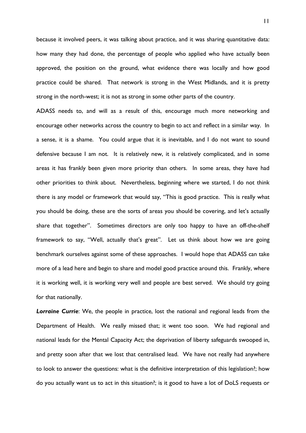because it involved peers, it was talking about practice, and it was sharing quantitative data: how many they had done, the percentage of people who applied who have actually been approved, the position on the ground, what evidence there was locally and how good practice could be shared. That network is strong in the West Midlands, and it is pretty strong in the north-west; it is not as strong in some other parts of the country.

ADASS needs to, and will as a result of this, encourage much more networking and encourage other networks across the country to begin to act and reflect in a similar way. In a sense, it is a shame. You could argue that it is inevitable, and I do not want to sound defensive because I am not. It is relatively new, it is relatively complicated, and in some areas it has frankly been given more priority than others. In some areas, they have had other priorities to think about. Nevertheless, beginning where we started, I do not think there is any model or framework that would say, "This is good practice. This is really what you should be doing, these are the sorts of areas you should be covering, and let's actually share that together". Sometimes directors are only too happy to have an off-the-shelf framework to say, "Well, actually that's great". Let us think about how we are going benchmark ourselves against some of these approaches. I would hope that ADASS can take more of a lead here and begin to share and model good practice around this. Frankly, where it is working well, it is working very well and people are best served. We should try going for that nationally.

*Lorraine Currie*: We, the people in practice, lost the national and regional leads from the Department of Health. We really missed that; it went too soon. We had regional and national leads for the Mental Capacity Act; the deprivation of liberty safeguards swooped in, and pretty soon after that we lost that centralised lead. We have not really had anywhere to look to answer the questions: what is the definitive interpretation of this legislation?; how do you actually want us to act in this situation?; is it good to have a lot of DoLS requests or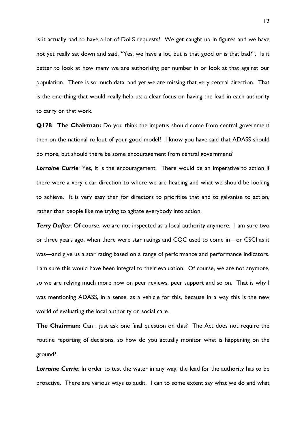is it actually bad to have a lot of DoLS requests? We get caught up in figures and we have not yet really sat down and said, "Yes, we have a lot, but is that good or is that bad?". Is it better to look at how many we are authorising per number in or look at that against our population. There is so much data, and yet we are missing that very central direction. That is the one thing that would really help us: a clear focus on having the lead in each authority to carry on that work.

**Q178 The Chairman:** Do you think the impetus should come from central government then on the national rollout of your good model? I know you have said that ADASS should do more, but should there be some encouragement from central government?

*Lorraine Currie*: Yes, it is the encouragement. There would be an imperative to action if there were a very clear direction to where we are heading and what we should be looking to achieve. It is very easy then for directors to prioritise that and to galvanise to action, rather than people like me trying to agitate everybody into action.

**Terry Dafter:** Of course, we are not inspected as a local authority anymore. I am sure two or three years ago, when there were star ratings and CQC used to come in—or CSCI as it was—and give us a star rating based on a range of performance and performance indicators. I am sure this would have been integral to their evaluation. Of course, we are not anymore, so we are relying much more now on peer reviews, peer support and so on. That is why I was mentioning ADASS, in a sense, as a vehicle for this, because in a way this is the new world of evaluating the local authority on social care.

**The Chairman:** Can I just ask one final question on this? The Act does not require the routine reporting of decisions, so how do you actually monitor what is happening on the ground?

*Lorraine Currie*: In order to test the water in any way, the lead for the authority has to be proactive. There are various ways to audit. I can to some extent say what we do and what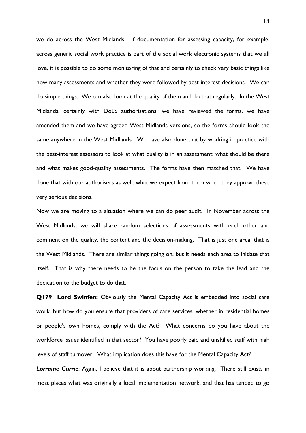we do across the West Midlands. If documentation for assessing capacity, for example, across generic social work practice is part of the social work electronic systems that we all love, it is possible to do some monitoring of that and certainly to check very basic things like how many assessments and whether they were followed by best-interest decisions. We can do simple things. We can also look at the quality of them and do that regularly. In the West Midlands, certainly with DoLS authorisations, we have reviewed the forms, we have amended them and we have agreed West Midlands versions, so the forms should look the same anywhere in the West Midlands. We have also done that by working in practice with the best-interest assessors to look at what quality is in an assessment: what should be there and what makes good-quality assessments. The forms have then matched that. We have done that with our authorisers as well: what we expect from them when they approve these very serious decisions.

Now we are moving to a situation where we can do peer audit. In November across the West Midlands, we will share random selections of assessments with each other and comment on the quality, the content and the decision-making. That is just one area; that is the West Midlands. There are similar things going on, but it needs each area to initiate that itself. That is why there needs to be the focus on the person to take the lead and the dedication to the budget to do that.

**Q179 Lord Swinfen:** Obviously the Mental Capacity Act is embedded into social care work, but how do you ensure that providers of care services, whether in residential homes or people's own homes, comply with the Act? What concerns do you have about the workforce issues identified in that sector? You have poorly paid and unskilled staff with high levels of staff turnover. What implication does this have for the Mental Capacity Act?

*Lorraine Currie*: Again, I believe that it is about partnership working. There still exists in most places what was originally a local implementation network, and that has tended to go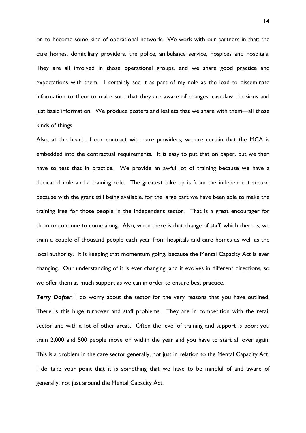on to become some kind of operational network. We work with our partners in that: the care homes, domiciliary providers, the police, ambulance service, hospices and hospitals. They are all involved in those operational groups, and we share good practice and expectations with them. I certainly see it as part of my role as the lead to disseminate information to them to make sure that they are aware of changes, case-law decisions and just basic information. We produce posters and leaflets that we share with them—all those kinds of things.

Also, at the heart of our contract with care providers, we are certain that the MCA is embedded into the contractual requirements. It is easy to put that on paper, but we then have to test that in practice. We provide an awful lot of training because we have a dedicated role and a training role. The greatest take up is from the independent sector, because with the grant still being available, for the large part we have been able to make the training free for those people in the independent sector. That is a great encourager for them to continue to come along. Also, when there is that change of staff, which there is, we train a couple of thousand people each year from hospitals and care homes as well as the local authority. It is keeping that momentum going, because the Mental Capacity Act is ever changing. Our understanding of it is ever changing, and it evolves in different directions, so we offer them as much support as we can in order to ensure best practice.

**Terry Dafter:** I do worry about the sector for the very reasons that you have outlined. There is this huge turnover and staff problems. They are in competition with the retail sector and with a lot of other areas. Often the level of training and support is poor: you train 2,000 and 500 people move on within the year and you have to start all over again. This is a problem in the care sector generally, not just in relation to the Mental Capacity Act. I do take your point that it is something that we have to be mindful of and aware of generally, not just around the Mental Capacity Act.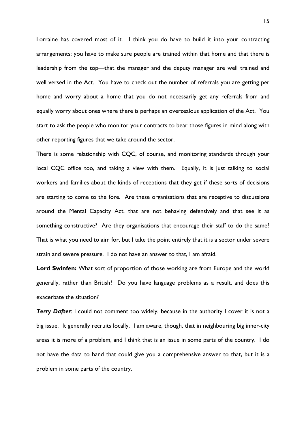Lorraine has covered most of it. I think you do have to build it into your contracting arrangements; you have to make sure people are trained within that home and that there is leadership from the top—that the manager and the deputy manager are well trained and well versed in the Act. You have to check out the number of referrals you are getting per home and worry about a home that you do not necessarily get any referrals from and equally worry about ones where there is perhaps an overzealous application of the Act. You start to ask the people who monitor your contracts to bear those figures in mind along with other reporting figures that we take around the sector.

There is some relationship with CQC, of course, and monitoring standards through your local CQC office too, and taking a view with them. Equally, it is just talking to social workers and families about the kinds of receptions that they get if these sorts of decisions are starting to come to the fore. Are these organisations that are receptive to discussions around the Mental Capacity Act, that are not behaving defensively and that see it as something constructive? Are they organisations that encourage their staff to do the same? That is what you need to aim for, but I take the point entirely that it is a sector under severe strain and severe pressure. I do not have an answer to that, I am afraid.

**Lord Swinfen:** What sort of proportion of those working are from Europe and the world generally, rather than British? Do you have language problems as a result, and does this exacerbate the situation?

**Terry Dafter:** I could not comment too widely, because in the authority I cover it is not a big issue. It generally recruits locally. I am aware, though, that in neighbouring big inner-city areas it is more of a problem, and I think that is an issue in some parts of the country. I do not have the data to hand that could give you a comprehensive answer to that, but it is a problem in some parts of the country.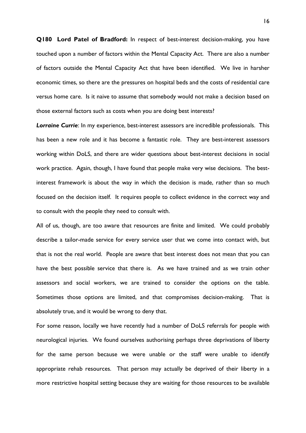**Q180 Lord Patel of Bradford:** In respect of best-interest decision-making, you have touched upon a number of factors within the Mental Capacity Act. There are also a number of factors outside the Mental Capacity Act that have been identified. We live in harsher economic times, so there are the pressures on hospital beds and the costs of residential care versus home care. Is it naive to assume that somebody would not make a decision based on those external factors such as costs when you are doing best interests?

*Lorraine Currie*: In my experience, best-interest assessors are incredible professionals. This has been a new role and it has become a fantastic role. They are best-interest assessors working within DoLS, and there are wider questions about best-interest decisions in social work practice. Again, though, I have found that people make very wise decisions. The bestinterest framework is about the way in which the decision is made, rather than so much focused on the decision itself. It requires people to collect evidence in the correct way and to consult with the people they need to consult with.

All of us, though, are too aware that resources are finite and limited. We could probably describe a tailor-made service for every service user that we come into contact with, but that is not the real world. People are aware that best interest does not mean that you can have the best possible service that there is. As we have trained and as we train other assessors and social workers, we are trained to consider the options on the table. Sometimes those options are limited, and that compromises decision-making. That is absolutely true, and it would be wrong to deny that.

For some reason, locally we have recently had a number of DoLS referrals for people with neurological injuries. We found ourselves authorising perhaps three deprivations of liberty for the same person because we were unable or the staff were unable to identify appropriate rehab resources. That person may actually be deprived of their liberty in a more restrictive hospital setting because they are waiting for those resources to be available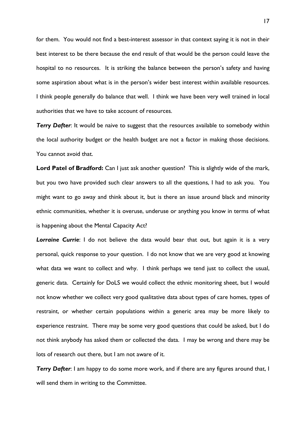for them. You would not find a best-interest assessor in that context saying it is not in their best interest to be there because the end result of that would be the person could leave the hospital to no resources. It is striking the balance between the person's safety and having some aspiration about what is in the person's wider best interest within available resources. I think people generally do balance that well. I think we have been very well trained in local authorities that we have to take account of resources.

**Terry Dafter:** It would be naive to suggest that the resources available to somebody within the local authority budget or the health budget are not a factor in making those decisions. You cannot avoid that.

Lord Patel of Bradford: Can I just ask another question? This is slightly wide of the mark, but you two have provided such clear answers to all the questions, I had to ask you. You might want to go away and think about it, but is there an issue around black and minority ethnic communities, whether it is overuse, underuse or anything you know in terms of what is happening about the Mental Capacity Act?

**Lorraine Currie**: I do not believe the data would bear that out, but again it is a very personal, quick response to your question. I do not know that we are very good at knowing what data we want to collect and why. I think perhaps we tend just to collect the usual, generic data. Certainly for DoLS we would collect the ethnic monitoring sheet, but I would not know whether we collect very good qualitative data about types of care homes, types of restraint, or whether certain populations within a generic area may be more likely to experience restraint. There may be some very good questions that could be asked, but I do not think anybody has asked them or collected the data. I may be wrong and there may be lots of research out there, but I am not aware of it.

**Terry Dafter**: I am happy to do some more work, and if there are any figures around that, I will send them in writing to the Committee.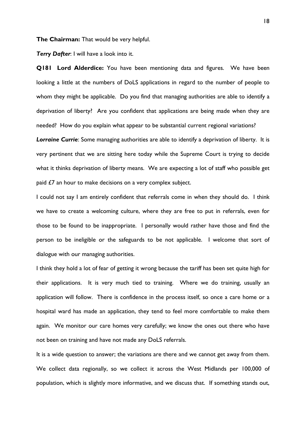**The Chairman:** That would be very helpful.

*Terry Dafter*: I will have a look into it.

**Q181 Lord Alderdice:** You have been mentioning data and figures. We have been looking a little at the numbers of DoLS applications in regard to the number of people to whom they might be applicable. Do you find that managing authorities are able to identify a deprivation of liberty? Are you confident that applications are being made when they are needed? How do you explain what appear to be substantial current regional variations?

*Lorraine Currie*: Some managing authorities are able to identify a deprivation of liberty. It is very pertinent that we are sitting here today while the Supreme Court is trying to decide what it thinks deprivation of liberty means. We are expecting a lot of staff who possible get paid £7 an hour to make decisions on a very complex subject.

I could not say I am entirely confident that referrals come in when they should do. I think we have to create a welcoming culture, where they are free to put in referrals, even for those to be found to be inappropriate. I personally would rather have those and find the person to be ineligible or the safeguards to be not applicable. I welcome that sort of dialogue with our managing authorities.

I think they hold a lot of fear of getting it wrong because the tariff has been set quite high for their applications. It is very much tied to training. Where we do training, usually an application will follow. There is confidence in the process itself, so once a care home or a hospital ward has made an application, they tend to feel more comfortable to make them again. We monitor our care homes very carefully; we know the ones out there who have not been on training and have not made any DoLS referrals.

It is a wide question to answer; the variations are there and we cannot get away from them. We collect data regionally, so we collect it across the West Midlands per 100,000 of population, which is slightly more informative, and we discuss that. If something stands out,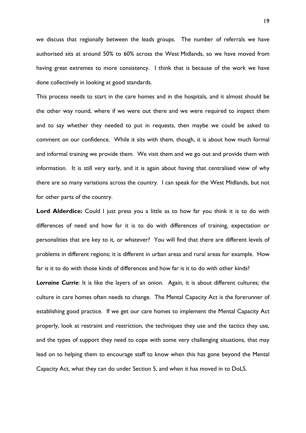we discuss that regionally between the leads groups. The number of referrals we have authorised sits at around 50% to 60% across the West Midlands, so we have moved from having great extremes to more consistency. I think that is because of the work we have done collectively in looking at good standards.

This process needs to start in the care homes and in the hospitals, and it almost should be the other way round, where if we were out there and we were required to inspect them and to say whether they needed to put in requests, then maybe we could be asked to comment on our confidence. While it sits with them, though, it is about how much formal and informal training we provide them. We visit them and we go out and provide them with information. It is still very early, and it is again about having that centralised view of why there are so many variations across the country. I can speak for the West Midlands, but not for other parts of the country.

Lord Alderdice: Could I just press you a little as to how far you think it is to do with differences of need and how far it is to do with differences of training, expectation or personalities that are key to it, or whatever? You will find that there are different levels of problems in different regions; it is different in urban areas and rural areas for example. How far is it to do with those kinds of differences and how far is it to do with other kinds?

*Lorraine Currie*: It is like the layers of an onion. Again, it is about different cultures; the culture in care homes often needs to change. The Mental Capacity Act is the forerunner of establishing good practice. If we get our care homes to implement the Mental Capacity Act properly, look at restraint and restriction, the techniques they use and the tactics they use, and the types of support they need to cope with some very challenging situations, that may lead on to helping them to encourage staff to know when this has gone beyond the Mental Capacity Act, what they can do under Section 5, and when it has moved in to DoLS.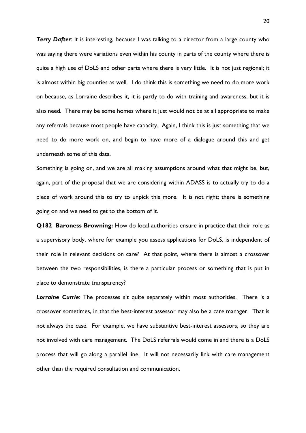**Terry Dafter:** It is interesting, because I was talking to a director from a large county who was saying there were variations even within his county in parts of the county where there is quite a high use of DoLS and other parts where there is very little. It is not just regional; it is almost within big counties as well. I do think this is something we need to do more work on because, as Lorraine describes it, it is partly to do with training and awareness, but it is also need. There may be some homes where it just would not be at all appropriate to make any referrals because most people have capacity. Again, I think this is just something that we need to do more work on, and begin to have more of a dialogue around this and get underneath some of this data.

Something is going on, and we are all making assumptions around what that might be, but, again, part of the proposal that we are considering within ADASS is to actually try to do a piece of work around this to try to unpick this more. It is not right; there is something going on and we need to get to the bottom of it.

**Q182 Baroness Browning:** How do local authorities ensure in practice that their role as a supervisory body, where for example you assess applications for DoLS, is independent of their role in relevant decisions on care? At that point, where there is almost a crossover between the two responsibilities, is there a particular process or something that is put in place to demonstrate transparency?

*Lorraine Currie*: The processes sit quite separately within most authorities. There is a crossover sometimes, in that the best-interest assessor may also be a care manager. That is not always the case. For example, we have substantive best-interest assessors, so they are not involved with care management. The DoLS referrals would come in and there is a DoLS process that will go along a parallel line. It will not necessarily link with care management other than the required consultation and communication.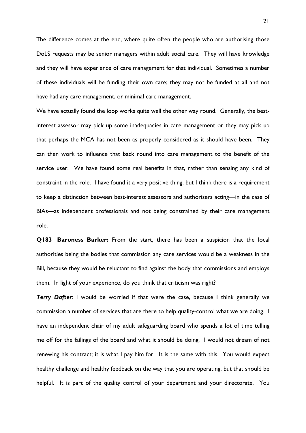The difference comes at the end, where quite often the people who are authorising those DoLS requests may be senior managers within adult social care. They will have knowledge and they will have experience of care management for that individual. Sometimes a number of these individuals will be funding their own care; they may not be funded at all and not have had any care management, or minimal care management.

We have actually found the loop works quite well the other way round. Generally, the bestinterest assessor may pick up some inadequacies in care management or they may pick up that perhaps the MCA has not been as properly considered as it should have been. They can then work to influence that back round into care management to the benefit of the service user. We have found some real benefits in that, rather than sensing any kind of constraint in the role. I have found it a very positive thing, but I think there is a requirement to keep a distinction between best-interest assessors and authorisers acting—in the case of BIAs—as independent professionals and not being constrained by their care management role.

**Q183 Baroness Barker:** From the start, there has been a suspicion that the local authorities being the bodies that commission any care services would be a weakness in the Bill, because they would be reluctant to find against the body that commissions and employs them. In light of your experience, do you think that criticism was right?

**Terry Dafter**: I would be worried if that were the case, because I think generally we commission a number of services that are there to help quality-control what we are doing. I have an independent chair of my adult safeguarding board who spends a lot of time telling me off for the failings of the board and what it should be doing. I would not dream of not renewing his contract; it is what I pay him for. It is the same with this. You would expect healthy challenge and healthy feedback on the way that you are operating, but that should be helpful. It is part of the quality control of your department and your directorate. You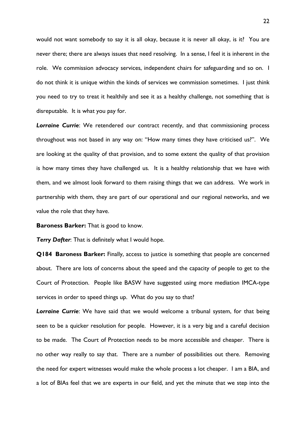would not want somebody to say it is all okay, because it is never all okay, is it? You are never there; there are always issues that need resolving. In a sense, I feel it is inherent in the role. We commission advocacy services, independent chairs for safeguarding and so on. I do not think it is unique within the kinds of services we commission sometimes. I just think you need to try to treat it healthily and see it as a healthy challenge, not something that is disreputable. It is what you pay for.

*Lorraine Currie*: We retendered our contract recently, and that commissioning process throughout was not based in any way on: "How many times they have criticised us?". We are looking at the quality of that provision, and to some extent the quality of that provision is how many times they have challenged us. It is a healthy relationship that we have with them, and we almost look forward to them raising things that we can address. We work in partnership with them, they are part of our operational and our regional networks, and we value the role that they have.

**Baroness Barker:** That is good to know.

*Terry Dafter*: That is definitely what I would hope.

**Q184 Baroness Barker:** Finally, access to justice is something that people are concerned about. There are lots of concerns about the speed and the capacity of people to get to the Court of Protection. People like BASW have suggested using more mediation IMCA-type services in order to speed things up. What do you say to that?

**Lorraine Currie:** We have said that we would welcome a tribunal system, for that being seen to be a quicker resolution for people. However, it is a very big and a careful decision to be made. The Court of Protection needs to be more accessible and cheaper. There is no other way really to say that. There are a number of possibilities out there. Removing the need for expert witnesses would make the whole process a lot cheaper. I am a BIA, and a lot of BIAs feel that we are experts in our field, and yet the minute that we step into the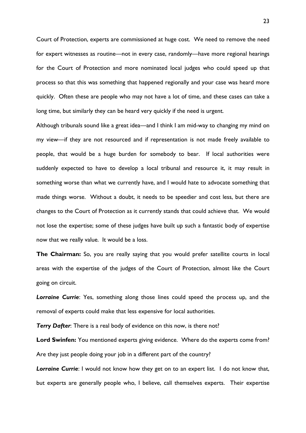Court of Protection, experts are commissioned at huge cost. We need to remove the need for expert witnesses as routine—not in every case, randomly—have more regional hearings for the Court of Protection and more nominated local judges who could speed up that process so that this was something that happened regionally and your case was heard more quickly. Often these are people who may not have a lot of time, and these cases can take a long time, but similarly they can be heard very quickly if the need is urgent.

Although tribunals sound like a great idea—and I think I am mid-way to changing my mind on my view—if they are not resourced and if representation is not made freely available to people, that would be a huge burden for somebody to bear. If local authorities were suddenly expected to have to develop a local tribunal and resource it, it may result in something worse than what we currently have, and I would hate to advocate something that made things worse. Without a doubt, it needs to be speedier and cost less, but there are changes to the Court of Protection as it currently stands that could achieve that. We would not lose the expertise; some of these judges have built up such a fantastic body of expertise now that we really value. It would be a loss.

**The Chairman:** So, you are really saying that you would prefer satellite courts in local areas with the expertise of the judges of the Court of Protection, almost like the Court going on circuit.

*Lorraine Currie*: Yes, something along those lines could speed the process up, and the removal of experts could make that less expensive for local authorities.

**Terry Dafter:** There is a real body of evidence on this now, is there not?

**Lord Swinfen:** You mentioned experts giving evidence. Where do the experts come from? Are they just people doing your job in a different part of the country?

**Lorraine Currie:** I would not know how they get on to an expert list. I do not know that, but experts are generally people who, I believe, call themselves experts. Their expertise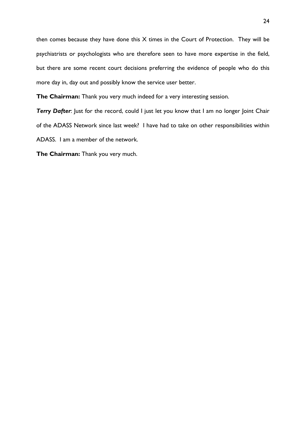then comes because they have done this X times in the Court of Protection. They will be psychiatrists or psychologists who are therefore seen to have more expertise in the field, but there are some recent court decisions preferring the evidence of people who do this more day in, day out and possibly know the service user better.

**The Chairman:** Thank you very much indeed for a very interesting session.

**Terry Dafter:** Just for the record, could I just let you know that I am no longer Joint Chair of the ADASS Network since last week? I have had to take on other responsibilities within ADASS. I am a member of the network.

**The Chairman:** Thank you very much.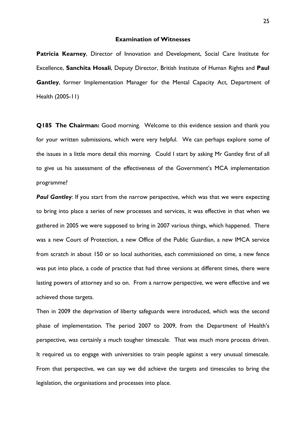### **Examination of Witnesses**

**Patricia Kearney, Director of Innovation and Development, Social Care Institute for** Excellence, **Sanchita Hosali**, Deputy Director, British Institute of Human Rights and **Paul Gantley**, former Implementation Manager for the Mental Capacity Act, Department of Health (2005-11)

**Q185 The Chairman:** Good morning. Welcome to this evidence session and thank you for your written submissions, which were very helpful. We can perhaps explore some of the issues in a little more detail this morning. Could I start by asking Mr Gantley first of all to give us his assessment of the effectiveness of the Government's MCA implementation programme?

**Paul Gantley:** If you start from the narrow perspective, which was that we were expecting to bring into place a series of new processes and services, it was effective in that when we gathered in 2005 we were supposed to bring in 2007 various things, which happened. There was a new Court of Protection, a new Office of the Public Guardian, a new IMCA service from scratch in about 150 or so local authorities, each commissioned on time, a new fence was put into place, a code of practice that had three versions at different times, there were lasting powers of attorney and so on. From a narrow perspective, we were effective and we achieved those targets.

Then in 2009 the deprivation of liberty safeguards were introduced, which was the second phase of implementation. The period 2007 to 2009, from the Department of Health's perspective, was certainly a much tougher timescale. That was much more process driven. It required us to engage with universities to train people against a very unusual timescale. From that perspective, we can say we did achieve the targets and timescales to bring the legislation, the organisations and processes into place.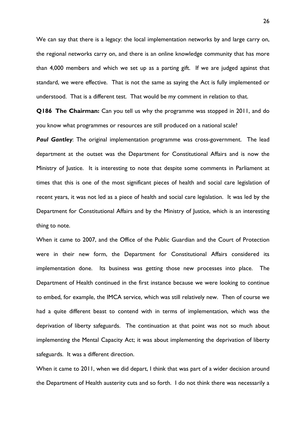We can say that there is a legacy: the local implementation networks by and large carry on, the regional networks carry on, and there is an online knowledge community that has more than 4,000 members and which we set up as a parting gift. If we are judged against that standard, we were effective. That is not the same as saying the Act is fully implemented or understood. That is a different test. That would be my comment in relation to that.

**Q186 The Chairman:** Can you tell us why the programme was stopped in 2011, and do you know what programmes or resources are still produced on a national scale?

**Paul Gantley:** The original implementation programme was cross-government. The lead department at the outset was the Department for Constitutional Affairs and is now the Ministry of Justice. It is interesting to note that despite some comments in Parliament at times that this is one of the most significant pieces of health and social care legislation of recent years, it was not led as a piece of health and social care legislation. It was led by the Department for Constitutional Affairs and by the Ministry of Justice, which is an interesting thing to note.

When it came to 2007, and the Office of the Public Guardian and the Court of Protection were in their new form, the Department for Constitutional Affairs considered its implementation done. Its business was getting those new processes into place. The Department of Health continued in the first instance because we were looking to continue to embed, for example, the IMCA service, which was still relatively new. Then of course we had a quite different beast to contend with in terms of implementation, which was the deprivation of liberty safeguards. The continuation at that point was not so much about implementing the Mental Capacity Act; it was about implementing the deprivation of liberty safeguards. It was a different direction.

When it came to 2011, when we did depart, I think that was part of a wider decision around the Department of Health austerity cuts and so forth. I do not think there was necessarily a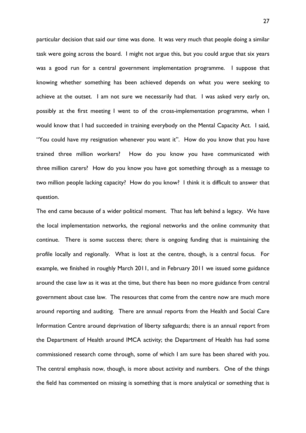particular decision that said our time was done. It was very much that people doing a similar task were going across the board. I might not argue this, but you could argue that six years was a good run for a central government implementation programme. I suppose that knowing whether something has been achieved depends on what you were seeking to achieve at the outset. I am not sure we necessarily had that. I was asked very early on, possibly at the first meeting I went to of the cross-implementation programme, when I would know that I had succeeded in training everybody on the Mental Capacity Act. I said, "You could have my resignation whenever you want it". How do you know that you have trained three million workers? How do you know you have communicated with three million carers? How do you know you have got something through as a message to two million people lacking capacity? How do you know? I think it is difficult to answer that question.

The end came because of a wider political moment. That has left behind a legacy. We have the local implementation networks, the regional networks and the online community that continue. There is some success there; there is ongoing funding that is maintaining the profile locally and regionally. What is lost at the centre, though, is a central focus. For example, we finished in roughly March 2011, and in February 2011 we issued some guidance around the case law as it was at the time, but there has been no more guidance from central government about case law. The resources that come from the centre now are much more around reporting and auditing. There are annual reports from the Health and Social Care Information Centre around deprivation of liberty safeguards; there is an annual report from the Department of Health around IMCA activity; the Department of Health has had some commissioned research come through, some of which I am sure has been shared with you. The central emphasis now, though, is more about activity and numbers. One of the things the field has commented on missing is something that is more analytical or something that is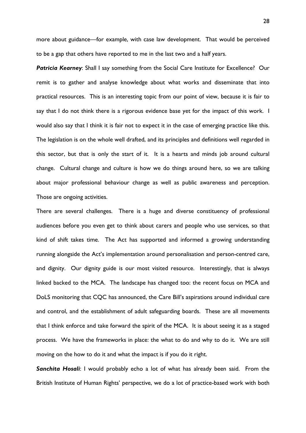more about guidance—for example, with case law development. That would be perceived to be a gap that others have reported to me in the last two and a half years.

**Patricia Kearney:** Shall I say something from the Social Care Institute for Excellence? Our remit is to gather and analyse knowledge about what works and disseminate that into practical resources. This is an interesting topic from our point of view, because it is fair to say that I do not think there is a rigorous evidence base yet for the impact of this work. I would also say that I think it is fair not to expect it in the case of emerging practice like this. The legislation is on the whole well drafted, and its principles and definitions well regarded in this sector, but that is only the start of it. It is a hearts and minds job around cultural change. Cultural change and culture is how we do things around here, so we are talking about major professional behaviour change as well as public awareness and perception. Those are ongoing activities.

There are several challenges. There is a huge and diverse constituency of professional audiences before you even get to think about carers and people who use services, so that kind of shift takes time. The Act has supported and informed a growing understanding running alongside the Act's implementation around personalisation and person-centred care, and dignity. Our dignity guide is our most visited resource. Interestingly, that is always linked backed to the MCA. The landscape has changed too: the recent focus on MCA and DoLS monitoring that CQC has announced, the Care Bill's aspirations around individual care and control, and the establishment of adult safeguarding boards. These are all movements that I think enforce and take forward the spirit of the MCA. It is about seeing it as a staged process. We have the frameworks in place: the what to do and why to do it. We are still moving on the how to do it and what the impact is if you do it right.

*Sanchita Hosali*: I would probably echo a lot of what has already been said. From the British Institute of Human Rights' perspective, we do a lot of practice-based work with both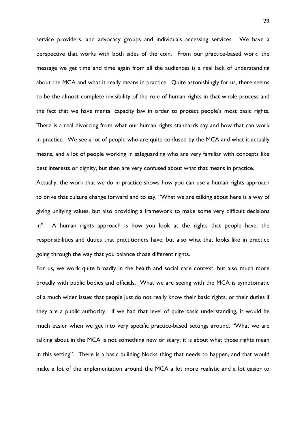service providers, and advocacy groups and individuals accessing services. We have a perspective that works with both sides of the coin. From our practice-based work, the message we get time and time again from all the audiences is a real lack of understanding about the MCA and what it really means in practice. Quite astonishingly for us, there seems to be the almost complete invisibility of the role of human rights in that whole process and the fact that we have mental capacity law in order to protect people's most basic rights. There is a real divorcing from what our human rights standards say and how that can work in practice. We see a lot of people who are quite confused by the MCA and what it actually means, and a lot of people working in safeguarding who are very familiar with concepts like best interests or dignity, but then are very confused about what that means in practice.

Actually, the work that we do in practice shows how you can use a human rights approach to drive that culture change forward and to say, "What we are talking about here is a way of giving unifying values, but also providing a framework to make some very difficult decisions in". A human rights approach is how you look at the rights that people have, the responsibilities and duties that practitioners have, but also what that looks like in practice going through the way that you balance those different rights.

For us, we work quite broadly in the health and social care context, but also much more broadly with public bodies and officials. What we are seeing with the MCA is symptomatic of a much wider issue: that people just do not really know their basic rights, or their duties if they are a public authority. If we had that level of quite basic understanding, it would be much easier when we get into very specific practice-based settings around, "What we are talking about in the MCA is not something new or scary; it is about what those rights mean in this setting". There is a basic building blocks thing that needs to happen, and that would make a lot of the implementation around the MCA a lot more realistic and a lot easier to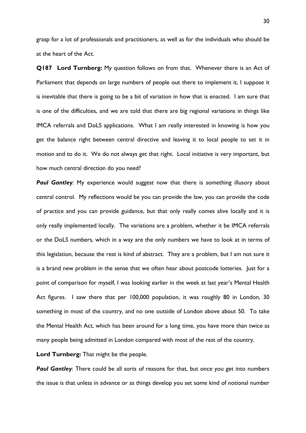grasp for a lot of professionals and practitioners, as well as for the individuals who should be at the heart of the Act.

**Q187 Lord Turnberg:** My question follows on from that. Whenever there is an Act of Parliament that depends on large numbers of people out there to implement it, I suppose it is inevitable that there is going to be a bit of variation in how that is enacted. I am sure that is one of the difficulties, and we are told that there are big regional variations in things like IMCA referrals and DoLS applications. What I am really interested in knowing is how you get the balance right between central directive and leaving it to local people to set it in motion and to do it. We do not always get that right. Local initiative is very important, but how much central direction do you need?

**Paul Gantley:** My experience would suggest now that there is something illusory about central control. My reflections would be you can provide the law, you can provide the code of practice and you can provide guidance, but that only really comes alive locally and it is only really implemented locally. The variations are a problem, whether it be IMCA referrals or the DoLS numbers, which in a way are the only numbers we have to look at in terms of this legislation, because the rest is kind of abstract. They are a problem, but I am not sure it is a brand new problem in the sense that we often hear about postcode lotteries. Just for a point of comparison for myself, I was looking earlier in the week at last year's Mental Health Act figures. I saw there that per 100,000 population, it was roughly 80 in London, 30 something in most of the country, and no one outside of London above about 50. To take the Mental Health Act, which has been around for a long time, you have more than twice as many people being admitted in London compared with most of the rest of the country.

**Lord Turnberg:** That might be the people.

**Paul Gantley:** There could be all sorts of reasons for that, but once you get into numbers the issue is that unless in advance or as things develop you set some kind of notional number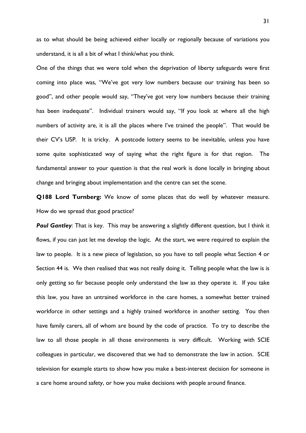as to what should be being achieved either locally or regionally because of variations you understand, it is all a bit of what I think/what you think.

One of the things that we were told when the deprivation of liberty safeguards were first coming into place was, "We've got very low numbers because our training has been so good", and other people would say, "They've got very low numbers because their training has been inadequate". Individual trainers would say, "If you look at where all the high numbers of activity are, it is all the places where I've trained the people". That would be their CV's USP. It is tricky. A postcode lottery seems to be inevitable, unless you have some quite sophisticated way of saying what the right figure is for that region. The fundamental answer to your question is that the real work is done locally in bringing about change and bringing about implementation and the centre can set the scene.

**Q188 Lord Turnberg:** We know of some places that do well by whatever measure. How do we spread that good practice?

**Paul Gantley:** That is key. This may be answering a slightly different question, but I think it flows, if you can just let me develop the logic. At the start, we were required to explain the law to people. It is a new piece of legislation, so you have to tell people what Section 4 or Section 44 is. We then realised that was not really doing it. Telling people what the law is is only getting so far because people only understand the law as they operate it. If you take this law, you have an untrained workforce in the care homes, a somewhat better trained workforce in other settings and a highly trained workforce in another setting. You then have family carers, all of whom are bound by the code of practice. To try to describe the law to all those people in all those environments is very difficult. Working with SCIE colleagues in particular, we discovered that we had to demonstrate the law in action. SCIE television for example starts to show how you make a best-interest decision for someone in a care home around safety, or how you make decisions with people around finance.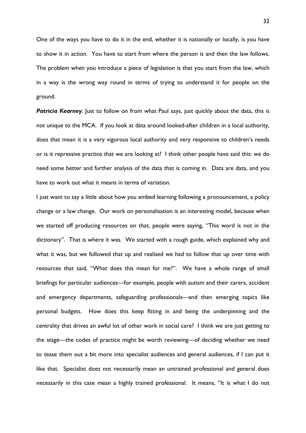One of the ways you have to do it in the end, whether it is nationally or locally, is you have to show it in action. You have to start from where the person is and then the law follows. The problem when you introduce a piece of legislation is that you start from the law, which in a way is the wrong way round in terms of trying to understand it for people on the ground.

**Patricia Kearney:** Just to follow on from what Paul says, just quickly about the data, this is not unique to the MCA. If you look at data around looked-after children in a local authority, does that mean it is a very vigorous local authority and very responsive to children's needs or is it repressive practice that we are looking at? I think other people have said this: we do need some better and further analysis of the data that is coming in. Data are data, and you have to work out what it means in terms of variation.

I just want to say a little about how you embed learning following a pronouncement, a policy change or a law change. Our work on personalisation is an interesting model, because when we started off producing resources on that, people were saying, "This word is not in the dictionary". That is where it was. We started with a rough guide, which explained why and what it was, but we followed that up and realised we had to follow that up over time with resources that said, "What does this mean for me?". We have a whole range of small briefings for particular audiences—for example, people with autism and their carers, accident and emergency departments, safeguarding professionals—and then emerging topics like personal budgets. How does this keep fitting in and being the underpinning and the centrality that drives an awful lot of other work in social care? I think we are just getting to the stage—the codes of practice might be worth reviewing—of deciding whether we need to tease them out a bit more into specialist audiences and general audiences, if I can put it like that. Specialist does not necessarily mean an untrained professional and general does necessarily in this case mean a highly trained professional. It means, "It is what I do not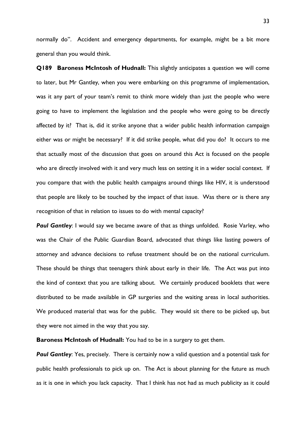normally do". Accident and emergency departments, for example, might be a bit more general than you would think.

**Q189 Baroness McIntosh of Hudnall:** This slightly anticipates a question we will come to later, but Mr Gantley, when you were embarking on this programme of implementation, was it any part of your team's remit to think more widely than just the people who were going to have to implement the legislation and the people who were going to be directly affected by it? That is, did it strike anyone that a wider public health information campaign either was or might be necessary? If it did strike people, what did you do? It occurs to me that actually most of the discussion that goes on around this Act is focused on the people who are directly involved with it and very much less on setting it in a wider social context. If you compare that with the public health campaigns around things like HIV, it is understood that people are likely to be touched by the impact of that issue. Was there or is there any recognition of that in relation to issues to do with mental capacity?

**Paul Gantley:** I would say we became aware of that as things unfolded. Rosie Varley, who was the Chair of the Public Guardian Board, advocated that things like lasting powers of attorney and advance decisions to refuse treatment should be on the national curriculum. These should be things that teenagers think about early in their life. The Act was put into the kind of context that you are talking about. We certainly produced booklets that were distributed to be made available in GP surgeries and the waiting areas in local authorities. We produced material that was for the public. They would sit there to be picked up, but they were not aimed in the way that you say.

**Baroness McIntosh of Hudnall:** You had to be in a surgery to get them.

*Paul Gantley*: Yes, precisely. There is certainly now a valid question and a potential task for public health professionals to pick up on. The Act is about planning for the future as much as it is one in which you lack capacity. That I think has not had as much publicity as it could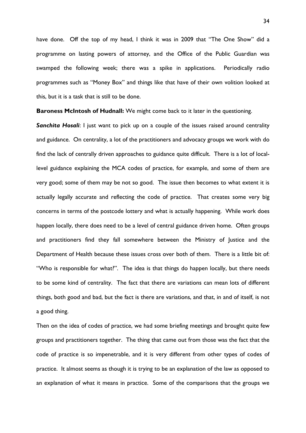have done. Off the top of my head, I think it was in 2009 that "The One Show" did a programme on lasting powers of attorney, and the Office of the Public Guardian was swamped the following week; there was a spike in applications. Periodically radio programmes such as "Money Box" and things like that have of their own volition looked at this, but it is a task that is still to be done.

**Baroness McIntosh of Hudnall:** We might come back to it later in the questioning.

**Sanchita Hosali:** I just want to pick up on a couple of the issues raised around centrality and guidance. On centrality, a lot of the practitioners and advocacy groups we work with do find the lack of centrally driven approaches to guidance quite difficult. There is a lot of locallevel guidance explaining the MCA codes of practice, for example, and some of them are very good; some of them may be not so good. The issue then becomes to what extent it is actually legally accurate and reflecting the code of practice. That creates some very big concerns in terms of the postcode lottery and what is actually happening. While work does happen locally, there does need to be a level of central guidance driven home. Often groups and practitioners find they fall somewhere between the Ministry of Justice and the Department of Health because these issues cross over both of them. There is a little bit of: "Who is responsible for what?". The idea is that things do happen locally, but there needs to be some kind of centrality. The fact that there are variations can mean lots of different things, both good and bad, but the fact is there are variations, and that, in and of itself, is not a good thing.

Then on the idea of codes of practice, we had some briefing meetings and brought quite few groups and practitioners together. The thing that came out from those was the fact that the code of practice is so impenetrable, and it is very different from other types of codes of practice. It almost seems as though it is trying to be an explanation of the law as opposed to an explanation of what it means in practice. Some of the comparisons that the groups we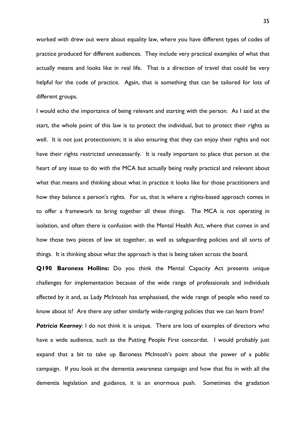worked with drew out were about equality law, where you have different types of codes of practice produced for different audiences. They include very practical examples of what that actually means and looks like in real life. That is a direction of travel that could be very helpful for the code of practice. Again, that is something that can be tailored for lots of different groups.

I would echo the importance of being relevant and starting with the person. As I said at the start, the whole point of this law is to protect the individual, but to protect their rights as well. It is not just protectionism; it is also ensuring that they can enjoy their rights and not have their rights restricted unnecessarily. It is really important to place that person at the heart of any issue to do with the MCA but actually being really practical and relevant about what that means and thinking about what in practice it looks like for those practitioners and how they balance a person's rights. For us, that is where a rights-based approach comes in to offer a framework to bring together all these things. The MCA is not operating in isolation, and often there is confusion with the Mental Health Act, where that comes in and how those two pieces of law sit together, as well as safeguarding policies and all sorts of things. It is thinking about what the approach is that is being taken across the board.

**Q190 Baroness Hollins:** Do you think the Mental Capacity Act presents unique challenges for implementation because of the wide range of professionals and individuals affected by it and, as Lady McIntosh has emphasised, the wide range of people who need to know about it? Are there any other similarly wide-ranging policies that we can learn from? **Patricia Kearney:** I do not think it is unique. There are lots of examples of directors who have a wide audience, such as the Putting People First concordat. I would probably just expand that a bit to take up Baroness McIntosh's point about the power of a public campaign. If you look at the dementia awareness campaign and how that fits in with all the dementia legislation and guidance, it is an enormous push. Sometimes the gradation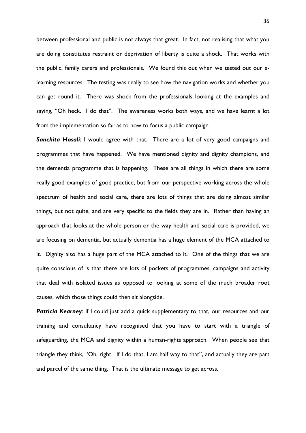between professional and public is not always that great. In fact, not realising that what you are doing constitutes restraint or deprivation of liberty is quite a shock. That works with the public, family carers and professionals. We found this out when we tested out our elearning resources. The testing was really to see how the navigation works and whether you can get round it. There was shock from the professionals looking at the examples and saying, "Oh heck. I do that". The awareness works both ways, and we have learnt a lot from the implementation so far as to how to focus a public campaign.

*Sanchita Hosali*: I would agree with that. There are a lot of very good campaigns and programmes that have happened. We have mentioned dignity and dignity champions, and the dementia programme that is happening. These are all things in which there are some really good examples of good practice, but from our perspective working across the whole spectrum of health and social care, there are lots of things that are doing almost similar things, but not quite, and are very specific to the fields they are in. Rather than having an approach that looks at the whole person or the way health and social care is provided, we are focusing on dementia, but actually dementia has a huge element of the MCA attached to it. Dignity also has a huge part of the MCA attached to it. One of the things that we are quite conscious of is that there are lots of pockets of programmes, campaigns and activity that deal with isolated issues as opposed to looking at some of the much broader root causes, which those things could then sit alongside.

**Patricia Kearney:** If I could just add a quick supplementary to that, our resources and our training and consultancy have recognised that you have to start with a triangle of safeguarding, the MCA and dignity within a human-rights approach. When people see that triangle they think, "Oh, right. If I do that, I am half way to that", and actually they are part and parcel of the same thing. That is the ultimate message to get across.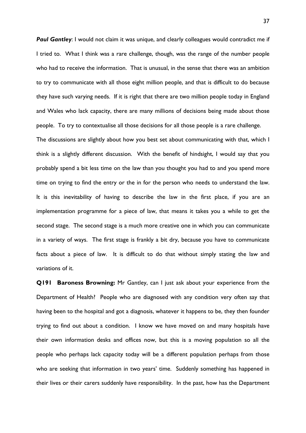**Paul Gantley:** I would not claim it was unique, and clearly colleagues would contradict me if I tried to. What I think was a rare challenge, though, was the range of the number people who had to receive the information. That is unusual, in the sense that there was an ambition to try to communicate with all those eight million people, and that is difficult to do because they have such varying needs. If it is right that there are two million people today in England and Wales who lack capacity, there are many millions of decisions being made about those people. To try to contextualise all those decisions for all those people is a rare challenge.

The discussions are slightly about how you best set about communicating with that, which I think is a slightly different discussion. With the benefit of hindsight, I would say that you probably spend a bit less time on the law than you thought you had to and you spend more time on trying to find the entry or the in for the person who needs to understand the law. It is this inevitability of having to describe the law in the first place, if you are an implementation programme for a piece of law, that means it takes you a while to get the second stage. The second stage is a much more creative one in which you can communicate in a variety of ways. The first stage is frankly a bit dry, because you have to communicate facts about a piece of law. It is difficult to do that without simply stating the law and variations of it.

**Q191 Baroness Browning:** Mr Gantley, can I just ask about your experience from the Department of Health? People who are diagnosed with any condition very often say that having been to the hospital and got a diagnosis, whatever it happens to be, they then founder trying to find out about a condition. I know we have moved on and many hospitals have their own information desks and offices now, but this is a moving population so all the people who perhaps lack capacity today will be a different population perhaps from those who are seeking that information in two years' time. Suddenly something has happened in their lives or their carers suddenly have responsibility. In the past, how has the Department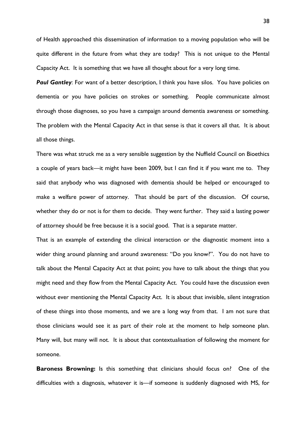of Health approached this dissemination of information to a moving population who will be quite different in the future from what they are today? This is not unique to the Mental Capacity Act. It is something that we have all thought about for a very long time.

**Paul Gantley:** For want of a better description, I think you have silos. You have policies on dementia or you have policies on strokes or something. People communicate almost through those diagnoses, so you have a campaign around dementia awareness or something. The problem with the Mental Capacity Act in that sense is that it covers all that. It is about all those things.

There was what struck me as a very sensible suggestion by the Nuffield Council on Bioethics a couple of years back—it might have been 2009, but I can find it if you want me to. They said that anybody who was diagnosed with dementia should be helped or encouraged to make a welfare power of attorney. That should be part of the discussion. Of course, whether they do or not is for them to decide. They went further. They said a lasting power of attorney should be free because it is a social good. That is a separate matter.

That is an example of extending the clinical interaction or the diagnostic moment into a wider thing around planning and around awareness: "Do you know?". You do not have to talk about the Mental Capacity Act at that point; you have to talk about the things that you might need and they flow from the Mental Capacity Act. You could have the discussion even without ever mentioning the Mental Capacity Act. It is about that invisible, silent integration of these things into those moments, and we are a long way from that. I am not sure that those clinicians would see it as part of their role at the moment to help someone plan. Many will, but many will not. It is about that contextualisation of following the moment for someone.

**Baroness Browning:** Is this something that clinicians should focus on? One of the difficulties with a diagnosis, whatever it is—if someone is suddenly diagnosed with MS, for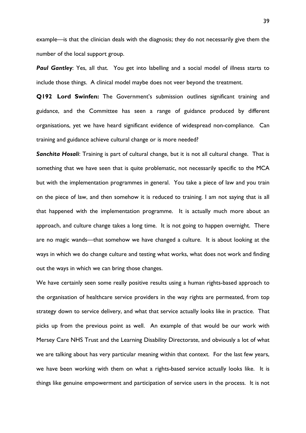example—is that the clinician deals with the diagnosis; they do not necessarily give them the number of the local support group.

**Paul Gantley:** Yes, all that. You get into labelling and a social model of illness starts to include those things. A clinical model maybe does not veer beyond the treatment.

**Q192 Lord Swinfen:** The Government's submission outlines significant training and guidance, and the Committee has seen a range of guidance produced by different organisations, yet we have heard significant evidence of widespread non-compliance. Can training and guidance achieve cultural change or is more needed?

*Sanchita Hosali*: Training is part of cultural change, but it is not all cultural change. That is something that we have seen that is quite problematic, not necessarily specific to the MCA but with the implementation programmes in general. You take a piece of law and you train on the piece of law, and then somehow it is reduced to training. I am not saying that is all that happened with the implementation programme. It is actually much more about an approach, and culture change takes a long time. It is not going to happen overnight. There are no magic wands—that somehow we have changed a culture. It is about looking at the ways in which we do change culture and testing what works, what does not work and finding out the ways in which we can bring those changes.

We have certainly seen some really positive results using a human rights-based approach to the organisation of healthcare service providers in the way rights are permeated, from top strategy down to service delivery, and what that service actually looks like in practice. That picks up from the previous point as well. An example of that would be our work with Mersey Care NHS Trust and the Learning Disability Directorate, and obviously a lot of what we are talking about has very particular meaning within that context. For the last few years, we have been working with them on what a rights-based service actually looks like. It is things like genuine empowerment and participation of service users in the process. It is not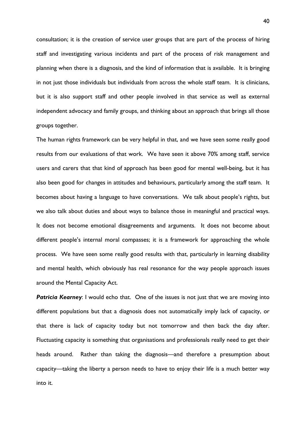consultation; it is the creation of service user groups that are part of the process of hiring staff and investigating various incidents and part of the process of risk management and planning when there is a diagnosis, and the kind of information that is available. It is bringing in not just those individuals but individuals from across the whole staff team. It is clinicians, but it is also support staff and other people involved in that service as well as external independent advocacy and family groups, and thinking about an approach that brings all those groups together.

The human rights framework can be very helpful in that, and we have seen some really good results from our evaluations of that work. We have seen it above 70% among staff, service users and carers that that kind of approach has been good for mental well-being, but it has also been good for changes in attitudes and behaviours, particularly among the staff team. It becomes about having a language to have conversations. We talk about people's rights, but we also talk about duties and about ways to balance those in meaningful and practical ways. It does not become emotional disagreements and arguments. It does not become about different people's internal moral compasses; it is a framework for approaching the whole process. We have seen some really good results with that, particularly in learning disability and mental health, which obviously has real resonance for the way people approach issues around the Mental Capacity Act.

**Patricia Kearney:** I would echo that. One of the issues is not just that we are moving into different populations but that a diagnosis does not automatically imply lack of capacity, or that there is lack of capacity today but not tomorrow and then back the day after. Fluctuating capacity is something that organisations and professionals really need to get their heads around. Rather than taking the diagnosis—and therefore a presumption about capacity—taking the liberty a person needs to have to enjoy their life is a much better way into it.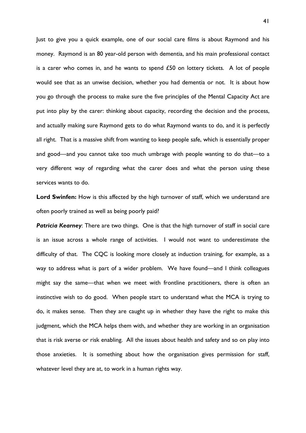Just to give you a quick example, one of our social care films is about Raymond and his money. Raymond is an 80 year-old person with dementia, and his main professional contact is a carer who comes in, and he wants to spend  $£50$  on lottery tickets. A lot of people would see that as an unwise decision, whether you had dementia or not. It is about how you go through the process to make sure the five principles of the Mental Capacity Act are put into play by the carer: thinking about capacity, recording the decision and the process, and actually making sure Raymond gets to do what Raymond wants to do, and it is perfectly all right. That is a massive shift from wanting to keep people safe, which is essentially proper and good—and you cannot take too much umbrage with people wanting to do that—to a very different way of regarding what the carer does and what the person using these services wants to do.

**Lord Swinfen:** How is this affected by the high turnover of staff, which we understand are often poorly trained as well as being poorly paid?

**Patricia Kearney:** There are two things. One is that the high turnover of staff in social care is an issue across a whole range of activities. I would not want to underestimate the difficulty of that. The CQC is looking more closely at induction training, for example, as a way to address what is part of a wider problem. We have found—and I think colleagues might say the same—that when we meet with frontline practitioners, there is often an instinctive wish to do good. When people start to understand what the MCA is trying to do, it makes sense. Then they are caught up in whether they have the right to make this judgment, which the MCA helps them with, and whether they are working in an organisation that is risk averse or risk enabling. All the issues about health and safety and so on play into those anxieties. It is something about how the organisation gives permission for staff, whatever level they are at, to work in a human rights way.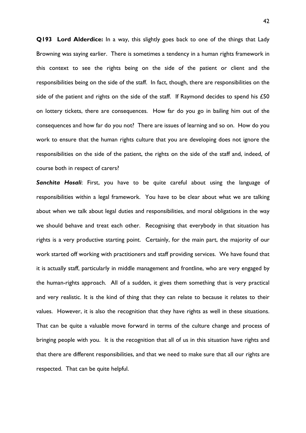**Q193 Lord Alderdice:** In a way, this slightly goes back to one of the things that Lady Browning was saying earlier. There is sometimes a tendency in a human rights framework in this context to see the rights being on the side of the patient or client and the responsibilities being on the side of the staff. In fact, though, there are responsibilities on the side of the patient and rights on the side of the staff. If Raymond decides to spend his £50 on lottery tickets, there are consequences. How far do you go in bailing him out of the consequences and how far do you not? There are issues of learning and so on. How do you work to ensure that the human rights culture that you are developing does not ignore the responsibilities on the side of the patient, the rights on the side of the staff and, indeed, of course both in respect of carers?

*Sanchita Hosali*: First, you have to be quite careful about using the language of responsibilities within a legal framework. You have to be clear about what we are talking about when we talk about legal duties and responsibilities, and moral obligations in the way we should behave and treat each other. Recognising that everybody in that situation has rights is a very productive starting point. Certainly, for the main part, the majority of our work started off working with practitioners and staff providing services. We have found that it is actually staff, particularly in middle management and frontline, who are very engaged by the human-rights approach. All of a sudden, it gives them something that is very practical and very realistic. It is the kind of thing that they can relate to because it relates to their values. However, it is also the recognition that they have rights as well in these situations. That can be quite a valuable move forward in terms of the culture change and process of bringing people with you. It is the recognition that all of us in this situation have rights and that there are different responsibilities, and that we need to make sure that all our rights are respected. That can be quite helpful.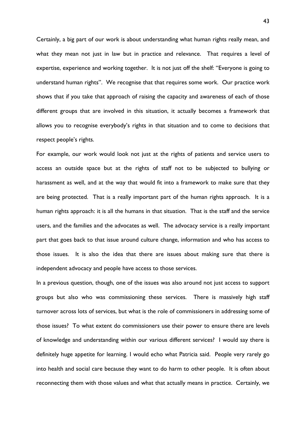Certainly, a big part of our work is about understanding what human rights really mean, and what they mean not just in law but in practice and relevance. That requires a level of expertise, experience and working together. It is not just off the shelf: "Everyone is going to understand human rights". We recognise that that requires some work. Our practice work shows that if you take that approach of raising the capacity and awareness of each of those different groups that are involved in this situation, it actually becomes a framework that allows you to recognise everybody's rights in that situation and to come to decisions that respect people's rights.

For example, our work would look not just at the rights of patients and service users to access an outside space but at the rights of staff not to be subjected to bullying or harassment as well, and at the way that would fit into a framework to make sure that they are being protected. That is a really important part of the human rights approach. It is a human rights approach: it is all the humans in that situation. That is the staff and the service users, and the families and the advocates as well. The advocacy service is a really important part that goes back to that issue around culture change, information and who has access to those issues. It is also the idea that there are issues about making sure that there is independent advocacy and people have access to those services.

In a previous question, though, one of the issues was also around not just access to support groups but also who was commissioning these services. There is massively high staff turnover across lots of services, but what is the role of commissioners in addressing some of those issues? To what extent do commissioners use their power to ensure there are levels of knowledge and understanding within our various different services? I would say there is definitely huge appetite for learning. I would echo what Patricia said. People very rarely go into health and social care because they want to do harm to other people. It is often about reconnecting them with those values and what that actually means in practice. Certainly, we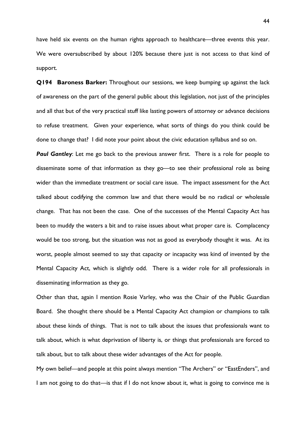have held six events on the human rights approach to healthcare—three events this year. We were oversubscribed by about 120% because there just is not access to that kind of support.

**Q194 Baroness Barker:** Throughout our sessions, we keep bumping up against the lack of awareness on the part of the general public about this legislation, not just of the principles and all that but of the very practical stuff like lasting powers of attorney or advance decisions to refuse treatment. Given your experience, what sorts of things do you think could be done to change that? I did note your point about the civic education syllabus and so on.

**Paul Gantley:** Let me go back to the previous answer first. There is a role for people to disseminate some of that information as they go—to see their professional role as being wider than the immediate treatment or social care issue. The impact assessment for the Act talked about codifying the common law and that there would be no radical or wholesale change. That has not been the case. One of the successes of the Mental Capacity Act has been to muddy the waters a bit and to raise issues about what proper care is. Complacency would be too strong, but the situation was not as good as everybody thought it was. At its worst, people almost seemed to say that capacity or incapacity was kind of invented by the Mental Capacity Act, which is slightly odd. There is a wider role for all professionals in disseminating information as they go.

Other than that, again I mention Rosie Varley, who was the Chair of the Public Guardian Board. She thought there should be a Mental Capacity Act champion or champions to talk about these kinds of things. That is not to talk about the issues that professionals want to talk about, which is what deprivation of liberty is, or things that professionals are forced to talk about, but to talk about these wider advantages of the Act for people.

My own belief—and people at this point always mention "The Archers" or "EastEnders", and I am not going to do that—is that if I do not know about it, what is going to convince me is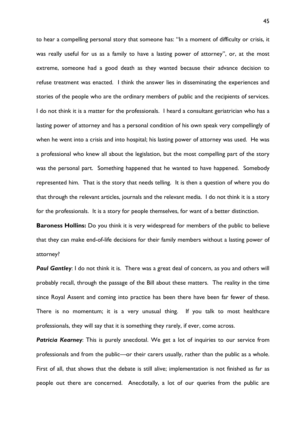to hear a compelling personal story that someone has: "In a moment of difficulty or crisis, it was really useful for us as a family to have a lasting power of attorney", or, at the most extreme, someone had a good death as they wanted because their advance decision to refuse treatment was enacted. I think the answer lies in disseminating the experiences and stories of the people who are the ordinary members of public and the recipients of services. I do not think it is a matter for the professionals. I heard a consultant geriatrician who has a lasting power of attorney and has a personal condition of his own speak very compellingly of when he went into a crisis and into hospital; his lasting power of attorney was used. He was a professional who knew all about the legislation, but the most compelling part of the story was the personal part. Something happened that he wanted to have happened. Somebody represented him. That is the story that needs telling. It is then a question of where you do that through the relevant articles, journals and the relevant media. I do not think it is a story for the professionals. It is a story for people themselves, for want of a better distinction.

**Baroness Hollins:** Do you think it is very widespread for members of the public to believe that they can make end-of-life decisions for their family members without a lasting power of attorney?

**Paul Gantley:** I do not think it is. There was a great deal of concern, as you and others will probably recall, through the passage of the Bill about these matters. The reality in the time since Royal Assent and coming into practice has been there have been far fewer of these. There is no momentum; it is a very unusual thing. If you talk to most healthcare professionals, they will say that it is something they rarely, if ever, come across.

**Patricia Kearney:** This is purely anecdotal. We get a lot of inquiries to our service from professionals and from the public—or their carers usually, rather than the public as a whole. First of all, that shows that the debate is still alive; implementation is not finished as far as people out there are concerned. Anecdotally, a lot of our queries from the public are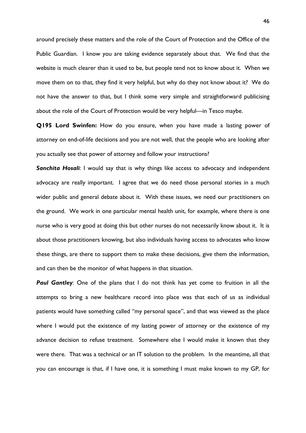around precisely these matters and the role of the Court of Protection and the Office of the Public Guardian. I know you are taking evidence separately about that. We find that the website is much clearer than it used to be, but people tend not to know about it. When we move them on to that, they find it very helpful, but why do they not know about it? We do not have the answer to that, but I think some very simple and straightforward publicising about the role of the Court of Protection would be very helpful—in Tesco maybe.

**Q195 Lord Swinfen:** How do you ensure, when you have made a lasting power of attorney on end-of-life decisions and you are not well, that the people who are looking after you actually see that power of attorney and follow your instructions?

**Sanchita Hosali:** I would say that is why things like access to advocacy and independent advocacy are really important. I agree that we do need those personal stories in a much wider public and general debate about it. With these issues, we need our practitioners on the ground. We work in one particular mental health unit, for example, where there is one nurse who is very good at doing this but other nurses do not necessarily know about it. It is about those practitioners knowing, but also individuals having access to advocates who know these things, are there to support them to make these decisions, give them the information, and can then be the monitor of what happens in that situation.

**Paul Gantley:** One of the plans that I do not think has yet come to fruition in all the attempts to bring a new healthcare record into place was that each of us as individual patients would have something called "my personal space", and that was viewed as the place where I would put the existence of my lasting power of attorney or the existence of my advance decision to refuse treatment. Somewhere else I would make it known that they were there. That was a technical or an IT solution to the problem. In the meantime, all that you can encourage is that, if I have one, it is something I must make known to my GP, for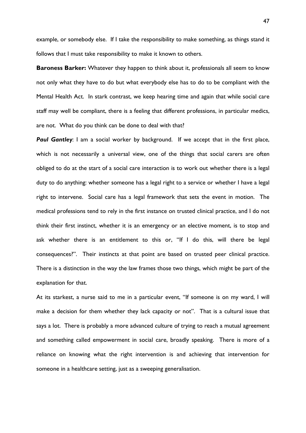example, or somebody else. If I take the responsibility to make something, as things stand it follows that I must take responsibility to make it known to others.

**Baroness Barker:** Whatever they happen to think about it, professionals all seem to know not only what they have to do but what everybody else has to do to be compliant with the Mental Health Act. In stark contrast, we keep hearing time and again that while social care staff may well be compliant, there is a feeling that different professions, in particular medics, are not. What do you think can be done to deal with that?

**Paul Gantley**: I am a social worker by background. If we accept that in the first place, which is not necessarily a universal view, one of the things that social carers are often obliged to do at the start of a social care interaction is to work out whether there is a legal duty to do anything: whether someone has a legal right to a service or whether I have a legal right to intervene. Social care has a legal framework that sets the event in motion. The medical professions tend to rely in the first instance on trusted clinical practice, and I do not think their first instinct, whether it is an emergency or an elective moment, is to stop and ask whether there is an entitlement to this or, "If I do this, will there be legal consequences?". Their instincts at that point are based on trusted peer clinical practice. There is a distinction in the way the law frames those two things, which might be part of the explanation for that.

At its starkest, a nurse said to me in a particular event, "If someone is on my ward, I will make a decision for them whether they lack capacity or not". That is a cultural issue that says a lot. There is probably a more advanced culture of trying to reach a mutual agreement and something called empowerment in social care, broadly speaking. There is more of a reliance on knowing what the right intervention is and achieving that intervention for someone in a healthcare setting, just as a sweeping generalisation.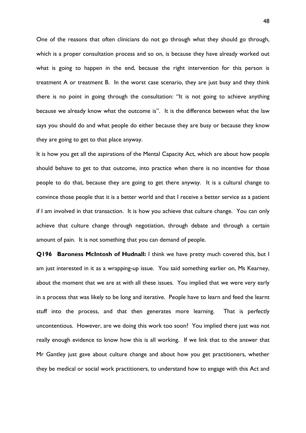One of the reasons that often clinicians do not go through what they should go through, which is a proper consultation process and so on, is because they have already worked out what is going to happen in the end, because the right intervention for this person is treatment A or treatment B. In the worst case scenario, they are just busy and they think there is no point in going through the consultation: "It is not going to achieve anything because we already know what the outcome is". It is the difference between what the law says you should do and what people do either because they are busy or because they know they are going to get to that place anyway.

It is how you get all the aspirations of the Mental Capacity Act, which are about how people should behave to get to that outcome, into practice when there is no incentive for those people to do that, because they are going to get there anyway. It is a cultural change to convince those people that it is a better world and that I receive a better service as a patient if I am involved in that transaction. It is how you achieve that culture change. You can only achieve that culture change through negotiation, through debate and through a certain amount of pain. It is not something that you can demand of people.

**Q196 Baroness McIntosh of Hudnall:** I think we have pretty much covered this, but I am just interested in it as a wrapping-up issue. You said something earlier on, Ms Kearney, about the moment that we are at with all these issues. You implied that we were very early in a process that was likely to be long and iterative. People have to learn and feed the learnt stuff into the process, and that then generates more learning. That is perfectly uncontentious. However, are we doing this work too soon? You implied there just was not really enough evidence to know how this is all working. If we link that to the answer that Mr Gantley just gave about culture change and about how you get practitioners, whether they be medical or social work practitioners, to understand how to engage with this Act and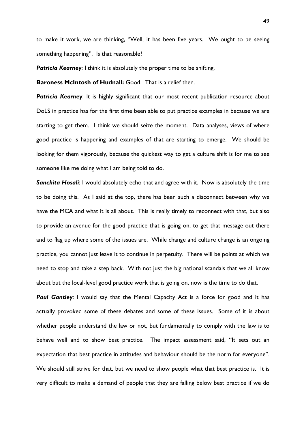to make it work, we are thinking, "Well, it has been five years. We ought to be seeing something happening". Is that reasonable?

**Patricia Kearney:** I think it is absolutely the proper time to be shifting.

**Baroness McIntosh of Hudnall:** Good. That is a relief then.

**Patricia Kearney:** It is highly significant that our most recent publication resource about DoLS in practice has for the first time been able to put practice examples in because we are starting to get them. I think we should seize the moment. Data analyses, views of where good practice is happening and examples of that are starting to emerge. We should be looking for them vigorously, because the quickest way to get a culture shift is for me to see someone like me doing what I am being told to do.

*Sanchita Hosali*: I would absolutely echo that and agree with it. Now is absolutely the time to be doing this. As I said at the top, there has been such a disconnect between why we have the MCA and what it is all about. This is really timely to reconnect with that, but also to provide an avenue for the good practice that is going on, to get that message out there and to flag up where some of the issues are. While change and culture change is an ongoing practice, you cannot just leave it to continue in perpetuity. There will be points at which we need to stop and take a step back. With not just the big national scandals that we all know about but the local-level good practice work that is going on, now is the time to do that.

**Paul Gantley**: I would say that the Mental Capacity Act is a force for good and it has actually provoked some of these debates and some of these issues. Some of it is about whether people understand the law or not, but fundamentally to comply with the law is to behave well and to show best practice. The impact assessment said, "It sets out an expectation that best practice in attitudes and behaviour should be the norm for everyone". We should still strive for that, but we need to show people what that best practice is. It is very difficult to make a demand of people that they are falling below best practice if we do